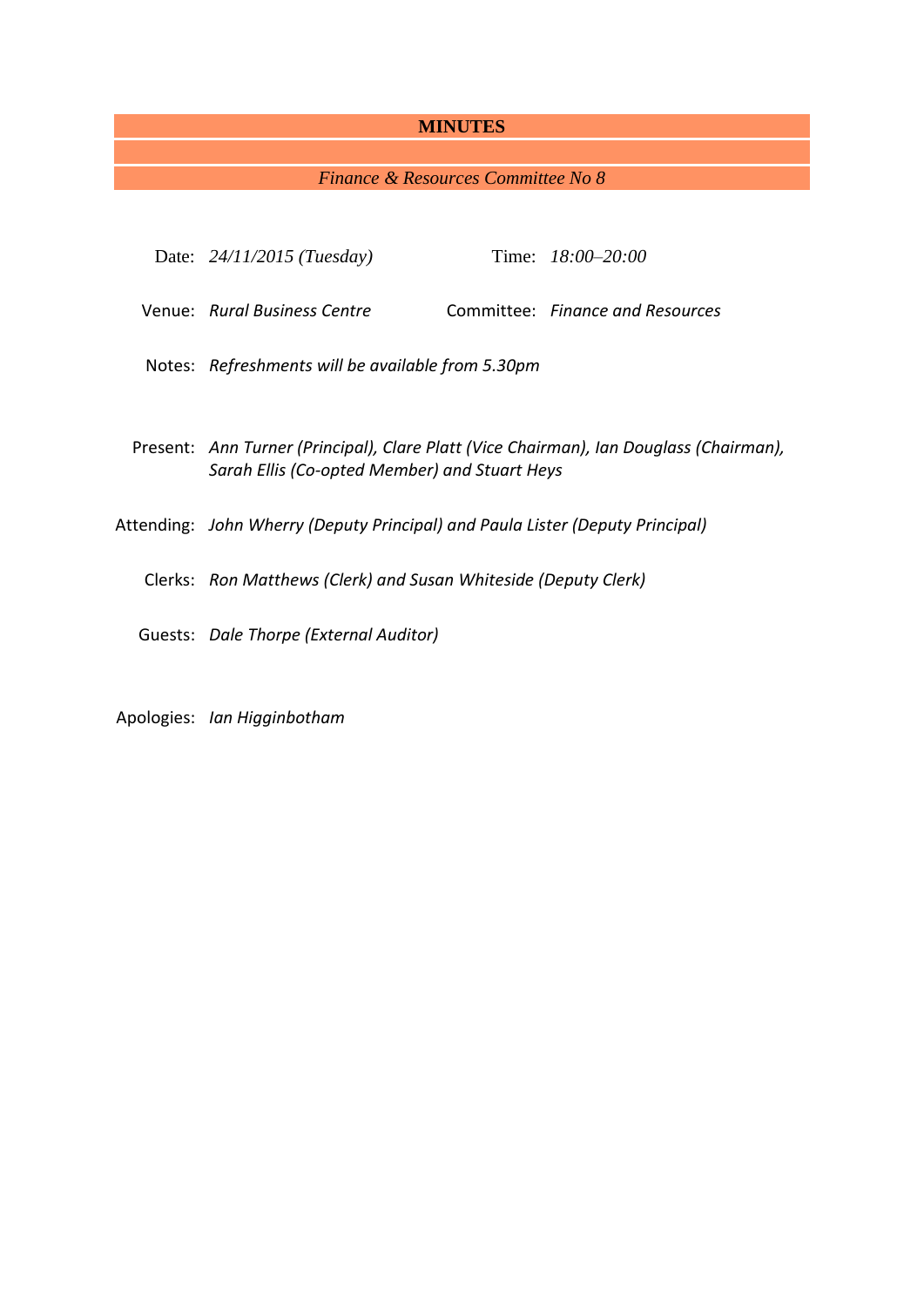## **MINUTES**

## *Finance & Resources Committee No 8*

| Date: $24/11/2015$ (Tuesday)                                                                                                            |  | Time: 18:00-20:00                |
|-----------------------------------------------------------------------------------------------------------------------------------------|--|----------------------------------|
| Venue: Rural Business Centre                                                                                                            |  | Committee: Finance and Resources |
| Notes: Refreshments will be available from 5.30pm                                                                                       |  |                                  |
| Present: Ann Turner (Principal), Clare Platt (Vice Chairman), Ian Douglass (Chairman),<br>Sarah Ellis (Co-opted Member) and Stuart Heys |  |                                  |
| Attending: John Wherry (Deputy Principal) and Paula Lister (Deputy Principal)                                                           |  |                                  |
| Clerks: Ron Matthews (Clerk) and Susan Whiteside (Deputy Clerk)                                                                         |  |                                  |
| Guests: Dale Thorpe (External Auditor)                                                                                                  |  |                                  |
|                                                                                                                                         |  |                                  |

Apologies: *Ian Higginbotham*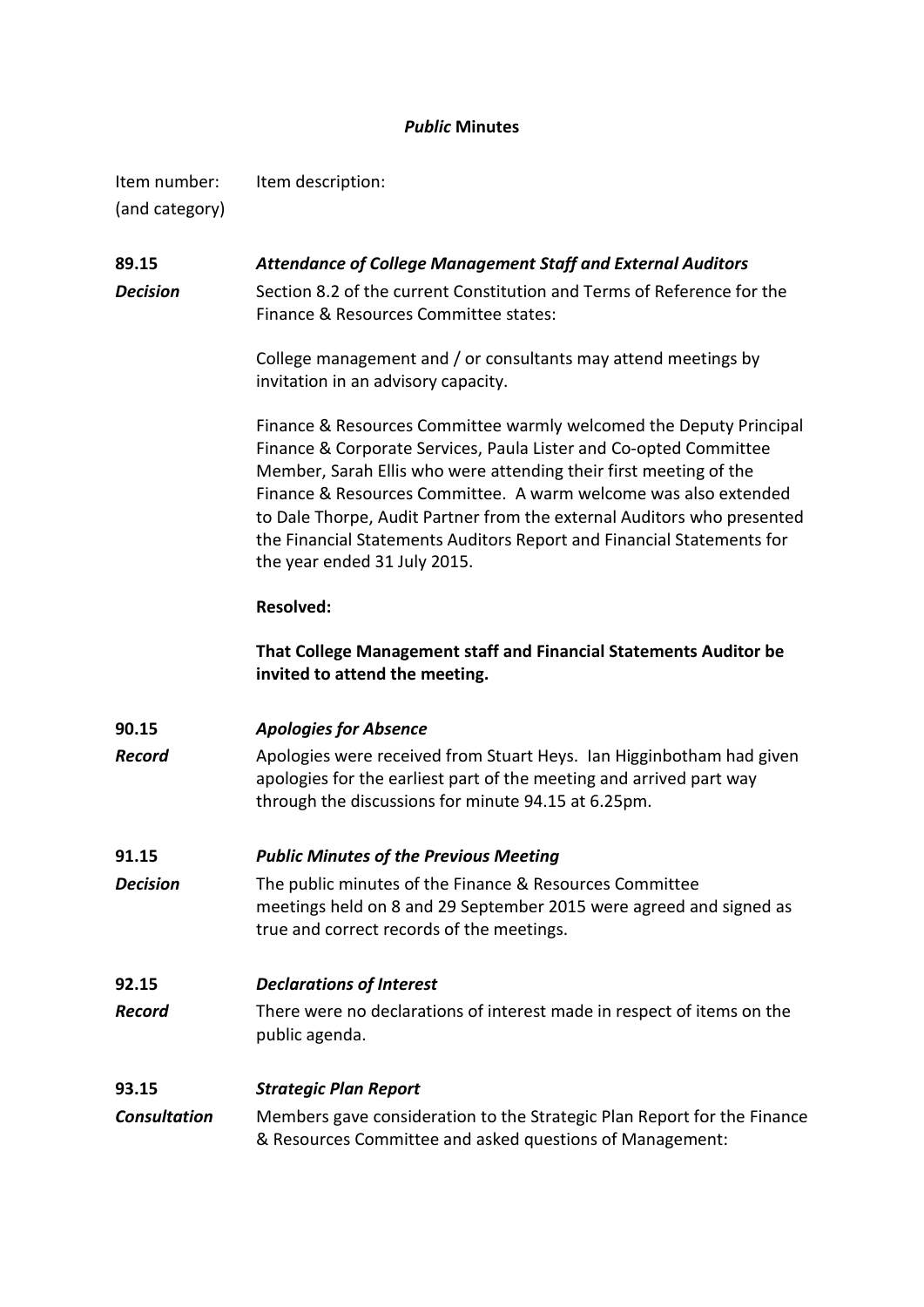## *Public* **Minutes**

Item number: Item description: (and category)

**89.15** *Attendance of College Management Staff and External Auditors Decision* Section 8.2 of the current Constitution and Terms of Reference for the Finance & Resources Committee states:

> College management and / or consultants may attend meetings by invitation in an advisory capacity.

Finance & Resources Committee warmly welcomed the Deputy Principal Finance & Corporate Services, Paula Lister and Co-opted Committee Member, Sarah Ellis who were attending their first meeting of the Finance & Resources Committee. A warm welcome was also extended to Dale Thorpe, Audit Partner from the external Auditors who presented the Financial Statements Auditors Report and Financial Statements for the year ended 31 July 2015.

## **Resolved:**

**That College Management staff and Financial Statements Auditor be invited to attend the meeting.**

**90.15** *Apologies for Absence* **Record** Apologies were received from Stuart Heys. Ian Higginbotham had given apologies for the earliest part of the meeting and arrived part way through the discussions for minute 94.15 at 6.25pm.

## **91.15** *Public Minutes of the Previous Meeting*

**Decision** The public minutes of the Finance & Resources Committee meetings held on 8 and 29 September 2015 were agreed and signed as true and correct records of the meetings.

## **92.15** *Declarations of Interest*

*Record* There were no declarations of interest made in respect of items on the public agenda.

## **93.15** *Strategic Plan Report*

*Consultation* Members gave consideration to the Strategic Plan Report for the Finance & Resources Committee and asked questions of Management: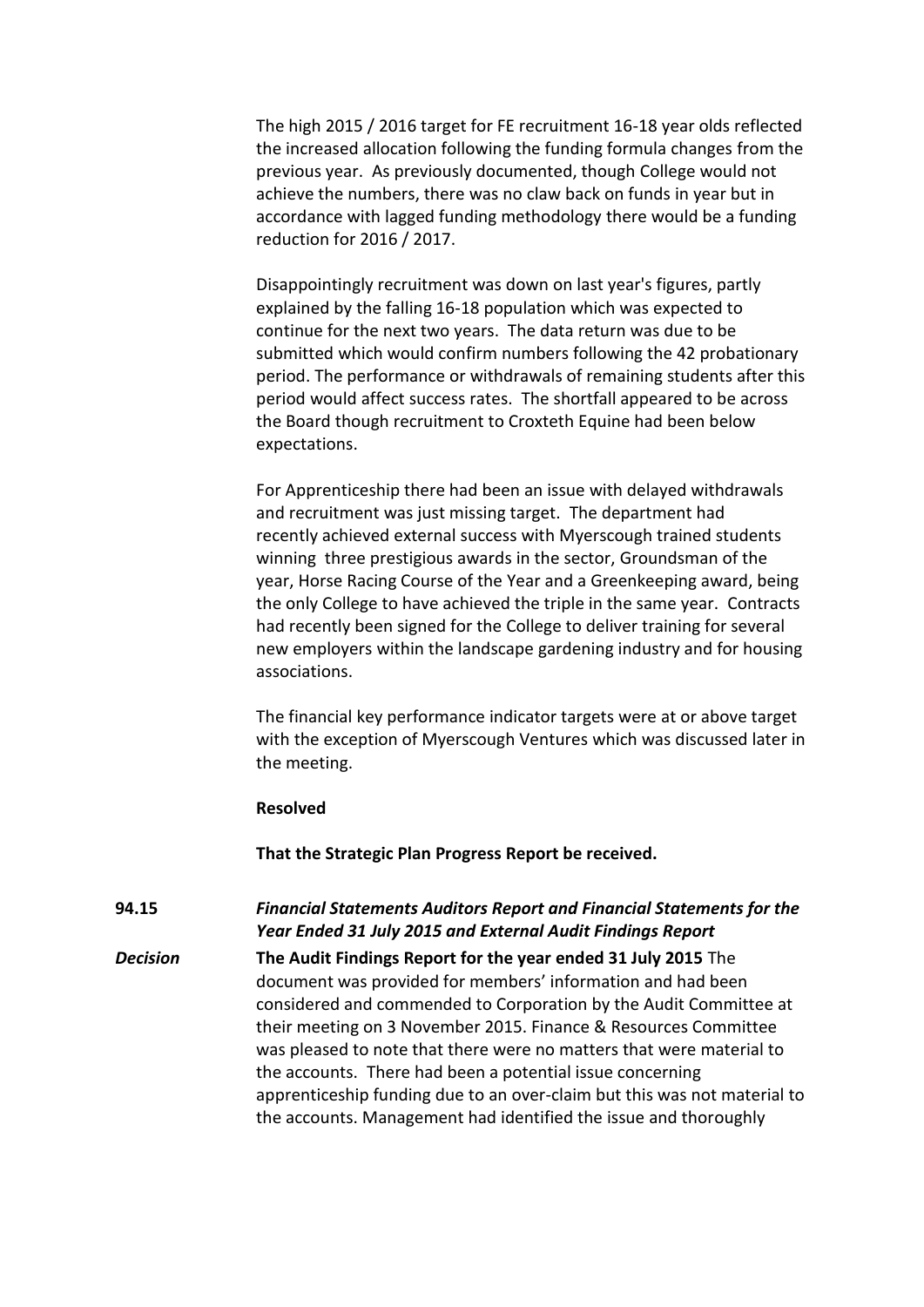The high 2015 / 2016 target for FE recruitment 16-18 year olds reflected the increased allocation following the funding formula changes from the previous year. As previously documented, though College would not achieve the numbers, there was no claw back on funds in year but in accordance with lagged funding methodology there would be a funding reduction for 2016 / 2017.

Disappointingly recruitment was down on last year's figures, partly explained by the falling 16-18 population which was expected to continue for the next two years. The data return was due to be submitted which would confirm numbers following the 42 probationary period. The performance or withdrawals of remaining students after this period would affect success rates. The shortfall appeared to be across the Board though recruitment to Croxteth Equine had been below expectations.

For Apprenticeship there had been an issue with delayed withdrawals and recruitment was just missing target. The department had recently achieved external success with Myerscough trained students winning three prestigious awards in the sector, Groundsman of the year, Horse Racing Course of the Year and a Greenkeeping award, being the only College to have achieved the triple in the same year. Contracts had recently been signed for the College to deliver training for several new employers within the landscape gardening industry and for housing associations.

The financial key performance indicator targets were at or above target with the exception of Myerscough Ventures which was discussed later in the meeting.

### **Resolved**

**That the Strategic Plan Progress Report be received.**

**94.15** *Financial Statements Auditors Report and Financial Statements for the Year Ended 31 July 2015 and External Audit Findings Report*

*Decision* **The Audit Findings Report for the year ended 31 July 2015** The document was provided for members' information and had been considered and commended to Corporation by the Audit Committee at their meeting on 3 November 2015. Finance & Resources Committee was pleased to note that there were no matters that were material to the accounts. There had been a potential issue concerning apprenticeship funding due to an over-claim but this was not material to the accounts. Management had identified the issue and thoroughly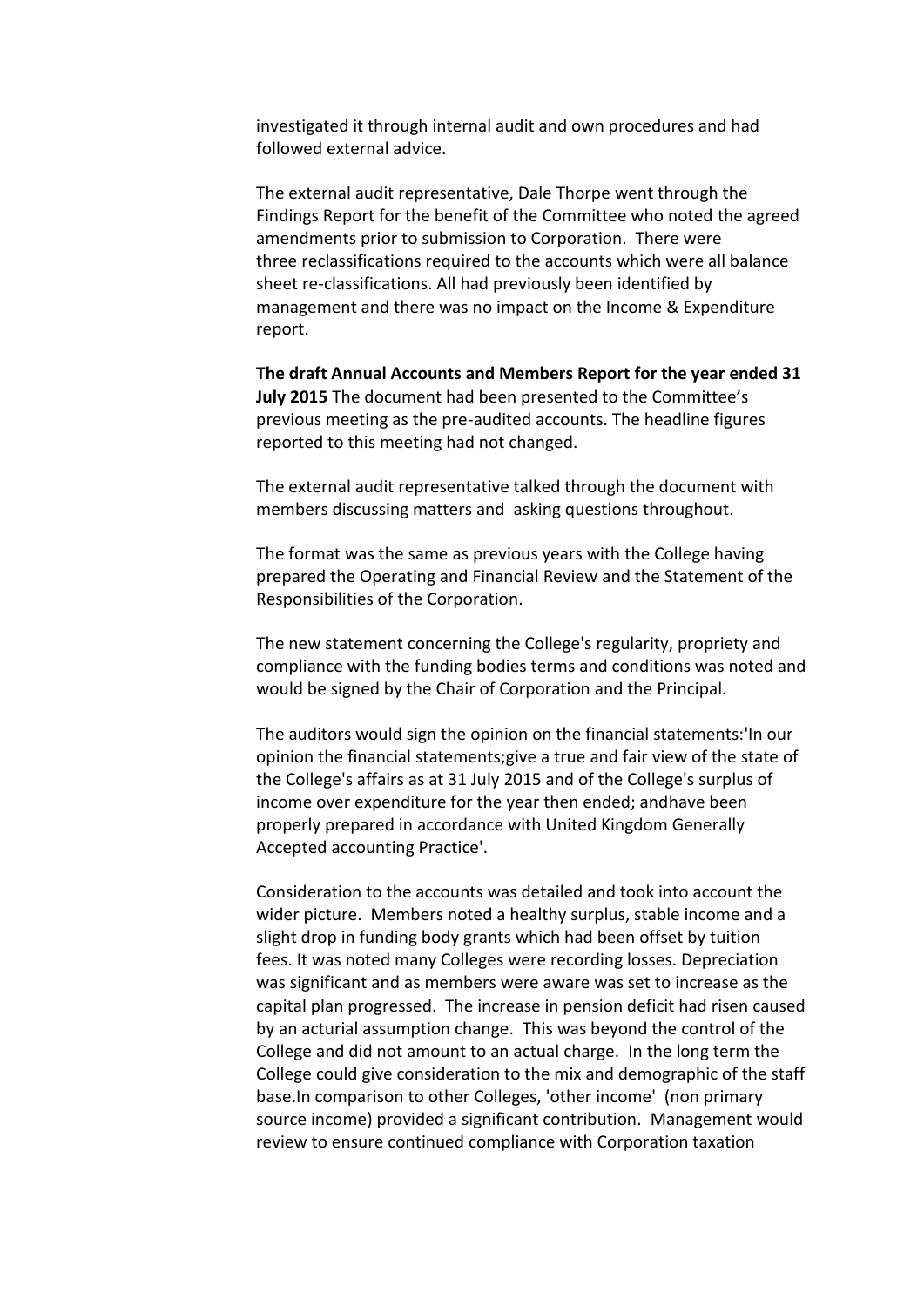investigated it through internal audit and own procedures and had followed external advice.

The external audit representative, Dale Thorpe went through the Findings Report for the benefit of the Committee who noted the agreed amendments prior to submission to Corporation. There were three reclassifications required to the accounts which were all balance sheet re-classifications. All had previously been identified by management and there was no impact on the Income & Expenditure report.

**The draft Annual Accounts and Members Report for the year ended 31 July 2015** The document had been presented to the Committee's previous meeting as the pre-audited accounts. The headline figures reported to this meeting had not changed.

The external audit representative talked through the document with members discussing matters and asking questions throughout.

The format was the same as previous years with the College having prepared the Operating and Financial Review and the Statement of the Responsibilities of the Corporation.

The new statement concerning the College's regularity, propriety and compliance with the funding bodies terms and conditions was noted and would be signed by the Chair of Corporation and the Principal.

The auditors would sign the opinion on the financial statements:'In our opinion the financial statements;give a true and fair view of the state of the College's affairs as at 31 July 2015 and of the College's surplus of income over expenditure for the year then ended; andhave been properly prepared in accordance with United Kingdom Generally Accepted accounting Practice'.

Consideration to the accounts was detailed and took into account the wider picture. Members noted a healthy surplus, stable income and a slight drop in funding body grants which had been offset by tuition fees. It was noted many Colleges were recording losses. Depreciation was significant and as members were aware was set to increase as the capital plan progressed. The increase in pension deficit had risen caused by an acturial assumption change. This was beyond the control of the College and did not amount to an actual charge. In the long term the College could give consideration to the mix and demographic of the staff base.In comparison to other Colleges, 'other income' (non primary source income) provided a significant contribution. Management would review to ensure continued compliance with Corporation taxation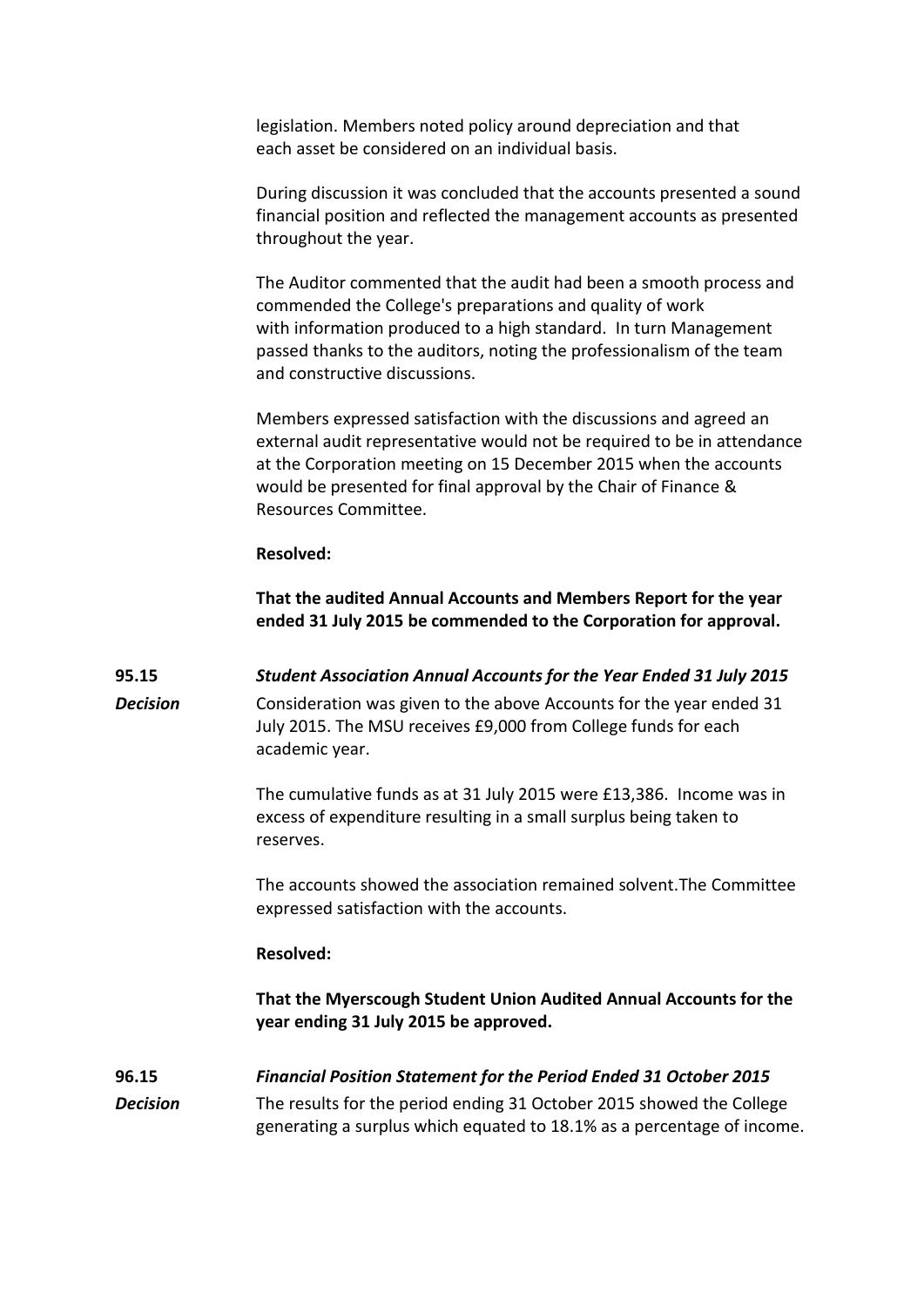legislation. Members noted policy around depreciation and that each asset be considered on an individual basis.

During discussion it was concluded that the accounts presented a sound financial position and reflected the management accounts as presented throughout the year.

The Auditor commented that the audit had been a smooth process and commended the College's preparations and quality of work with information produced to a high standard. In turn Management passed thanks to the auditors, noting the professionalism of the team and constructive discussions.

Members expressed satisfaction with the discussions and agreed an external audit representative would not be required to be in attendance at the Corporation meeting on 15 December 2015 when the accounts would be presented for final approval by the Chair of Finance & Resources Committee.

#### **Resolved:**

**That the audited Annual Accounts and Members Report for the year ended 31 July 2015 be commended to the Corporation for approval.**

**95.15** *Student Association Annual Accounts for the Year Ended 31 July 2015* **Decision** Consideration was given to the above Accounts for the year ended 31 July 2015. The MSU receives £9,000 from College funds for each academic year.

> The cumulative funds as at 31 July 2015 were £13,386. Income was in excess of expenditure resulting in a small surplus being taken to reserves.

The accounts showed the association remained solvent.The Committee expressed satisfaction with the accounts.

#### **Resolved:**

**That the Myerscough Student Union Audited Annual Accounts for the year ending 31 July 2015 be approved.**

## **96.15** *Financial Position Statement for the Period Ended 31 October 2015 Decision* The results for the period ending 31 October 2015 showed the College generating a surplus which equated to 18.1% as a percentage of income.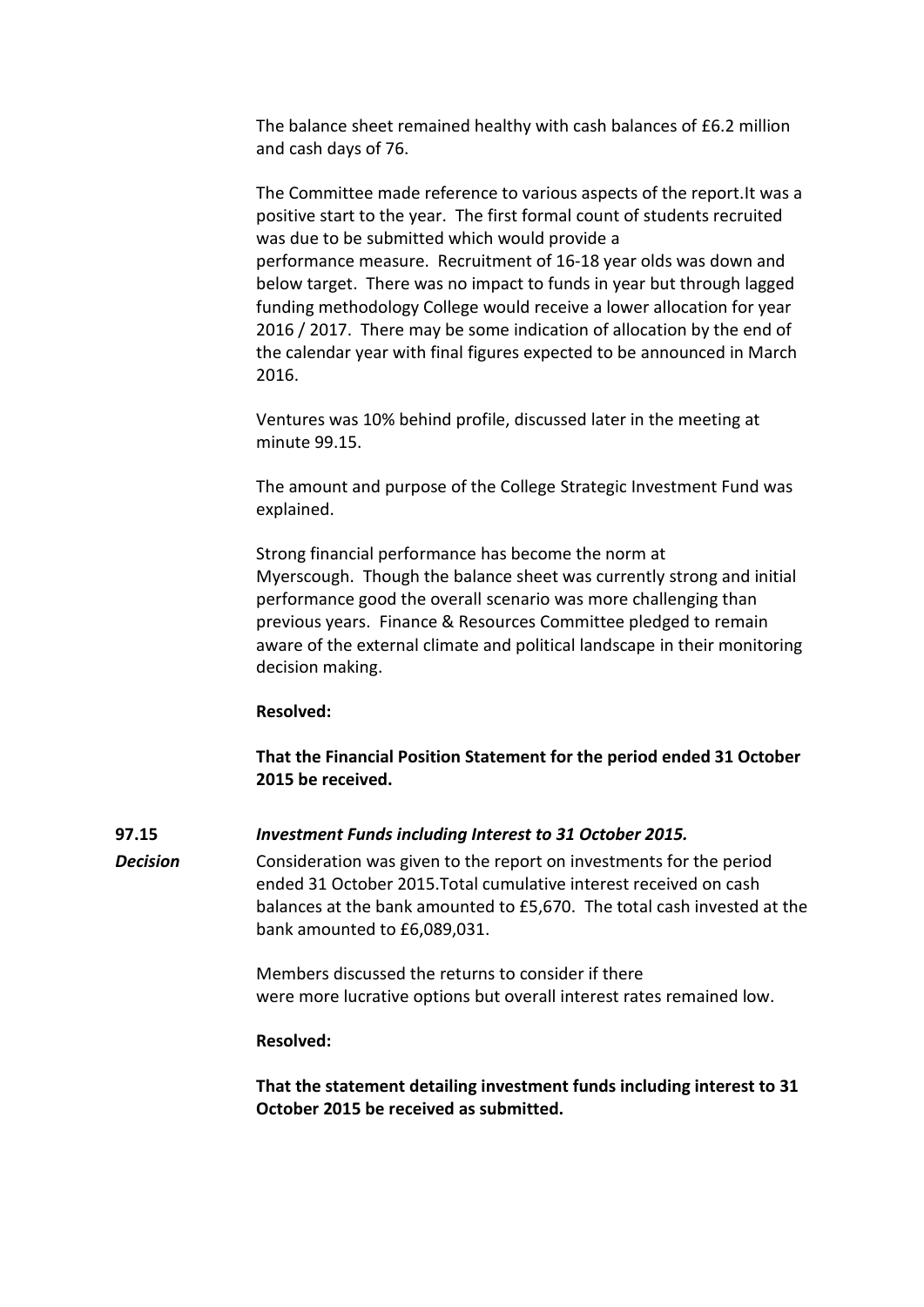The balance sheet remained healthy with cash balances of £6.2 million and cash days of 76.

The Committee made reference to various aspects of the report.It was a positive start to the year. The first formal count of students recruited was due to be submitted which would provide a performance measure. Recruitment of 16-18 year olds was down and below target. There was no impact to funds in year but through lagged funding methodology College would receive a lower allocation for year 2016 / 2017. There may be some indication of allocation by the end of the calendar year with final figures expected to be announced in March 2016.

Ventures was 10% behind profile, discussed later in the meeting at minute 99.15.

The amount and purpose of the College Strategic Investment Fund was explained.

Strong financial performance has become the norm at Myerscough. Though the balance sheet was currently strong and initial performance good the overall scenario was more challenging than previous years. Finance & Resources Committee pledged to remain aware of the external climate and political landscape in their monitoring decision making.

#### **Resolved:**

**That the Financial Position Statement for the period ended 31 October 2015 be received.**

**97.15** *Investment Funds including Interest to 31 October 2015.*

*Decision* Consideration was given to the report on investments for the period ended 31 October 2015.Total cumulative interest received on cash balances at the bank amounted to £5,670. The total cash invested at the bank amounted to £6,089,031.

> Members discussed the returns to consider if there were more lucrative options but overall interest rates remained low.

## **Resolved:**

**That the statement detailing investment funds including interest to 31 October 2015 be received as submitted.**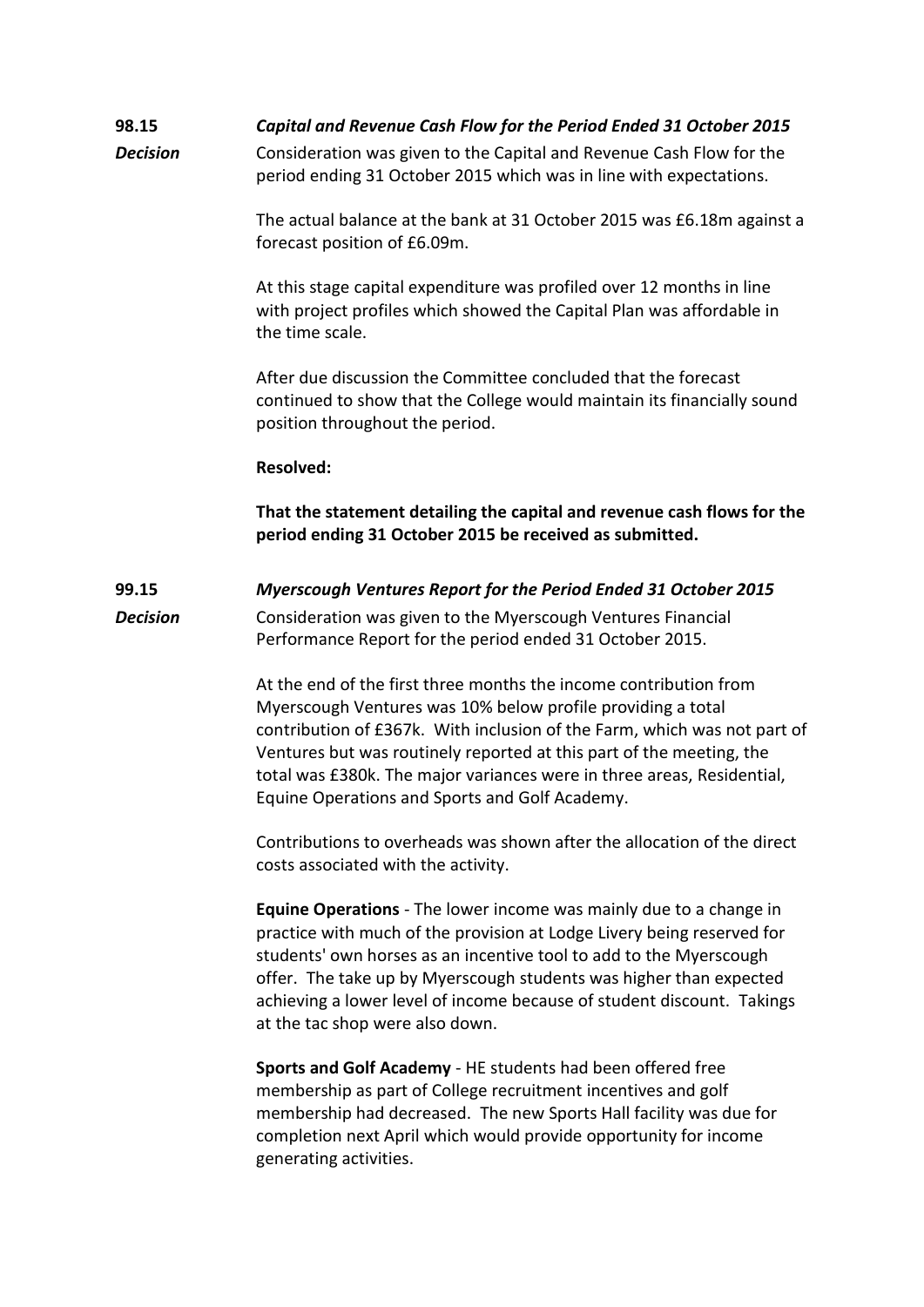## **98.15** *Capital and Revenue Cash Flow for the Period Ended 31 October 2015*

**Decision** Consideration was given to the Capital and Revenue Cash Flow for the period ending 31 October 2015 which was in line with expectations.

> The actual balance at the bank at 31 October 2015 was £6.18m against a forecast position of £6.09m.

At this stage capital expenditure was profiled over 12 months in line with project profiles which showed the Capital Plan was affordable in the time scale.

After due discussion the Committee concluded that the forecast continued to show that the College would maintain its financially sound position throughout the period.

#### **Resolved:**

**That the statement detailing the capital and revenue cash flows for the period ending 31 October 2015 be received as submitted.**

## **99.15** *Myerscough Ventures Report for the Period Ended 31 October 2015 Decision* Consideration was given to the Myerscough Ventures Financial Performance Report for the period ended 31 October 2015.

At the end of the first three months the income contribution from Myerscough Ventures was 10% below profile providing a total contribution of £367k. With inclusion of the Farm, which was not part of Ventures but was routinely reported at this part of the meeting, the total was £380k. The major variances were in three areas, Residential, Equine Operations and Sports and Golf Academy.

Contributions to overheads was shown after the allocation of the direct costs associated with the activity.

**Equine Operations** - The lower income was mainly due to a change in practice with much of the provision at Lodge Livery being reserved for students' own horses as an incentive tool to add to the Myerscough offer. The take up by Myerscough students was higher than expected achieving a lower level of income because of student discount. Takings at the tac shop were also down.

**Sports and Golf Academy** - HE students had been offered free membership as part of College recruitment incentives and golf membership had decreased. The new Sports Hall facility was due for completion next April which would provide opportunity for income generating activities.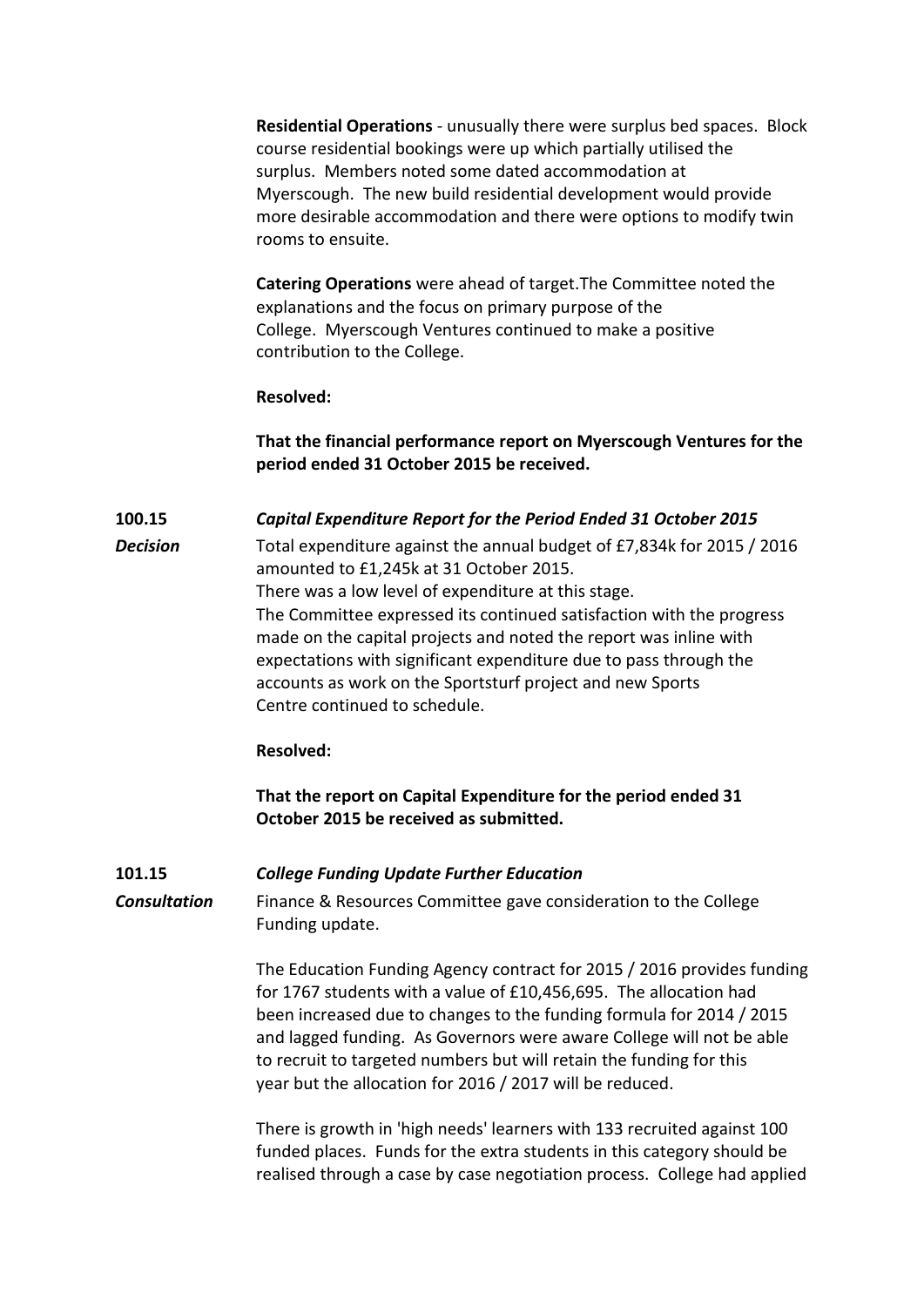**Residential Operations** - unusually there were surplus bed spaces. Block course residential bookings were up which partially utilised the surplus. Members noted some dated accommodation at Myerscough. The new build residential development would provide more desirable accommodation and there were options to modify twin rooms to ensuite.

**Catering Operations** were ahead of target.The Committee noted the explanations and the focus on primary purpose of the College. Myerscough Ventures continued to make a positive contribution to the College.

#### **Resolved:**

**That the financial performance report on Myerscough Ventures for the period ended 31 October 2015 be received.**

**100.15** *Capital Expenditure Report for the Period Ended 31 October 2015 Decision* Total expenditure against the annual budget of £7,834k for 2015 / 2016 amounted to £1,245k at 31 October 2015. There was a low level of expenditure at this stage. The Committee expressed its continued satisfaction with the progress made on the capital projects and noted the report was inline with expectations with significant expenditure due to pass through the accounts as work on the Sportsturf project and new Sports Centre continued to schedule.

#### **Resolved:**

**That the report on Capital Expenditure for the period ended 31 October 2015 be received as submitted.**

#### **101.15** *College Funding Update Further Education*

*Consultation* Finance & Resources Committee gave consideration to the College Funding update.

> The Education Funding Agency contract for 2015 / 2016 provides funding for 1767 students with a value of £10,456,695. The allocation had been increased due to changes to the funding formula for 2014 / 2015 and lagged funding. As Governors were aware College will not be able to recruit to targeted numbers but will retain the funding for this year but the allocation for 2016 / 2017 will be reduced.

> There is growth in 'high needs' learners with 133 recruited against 100 funded places. Funds for the extra students in this category should be realised through a case by case negotiation process. College had applied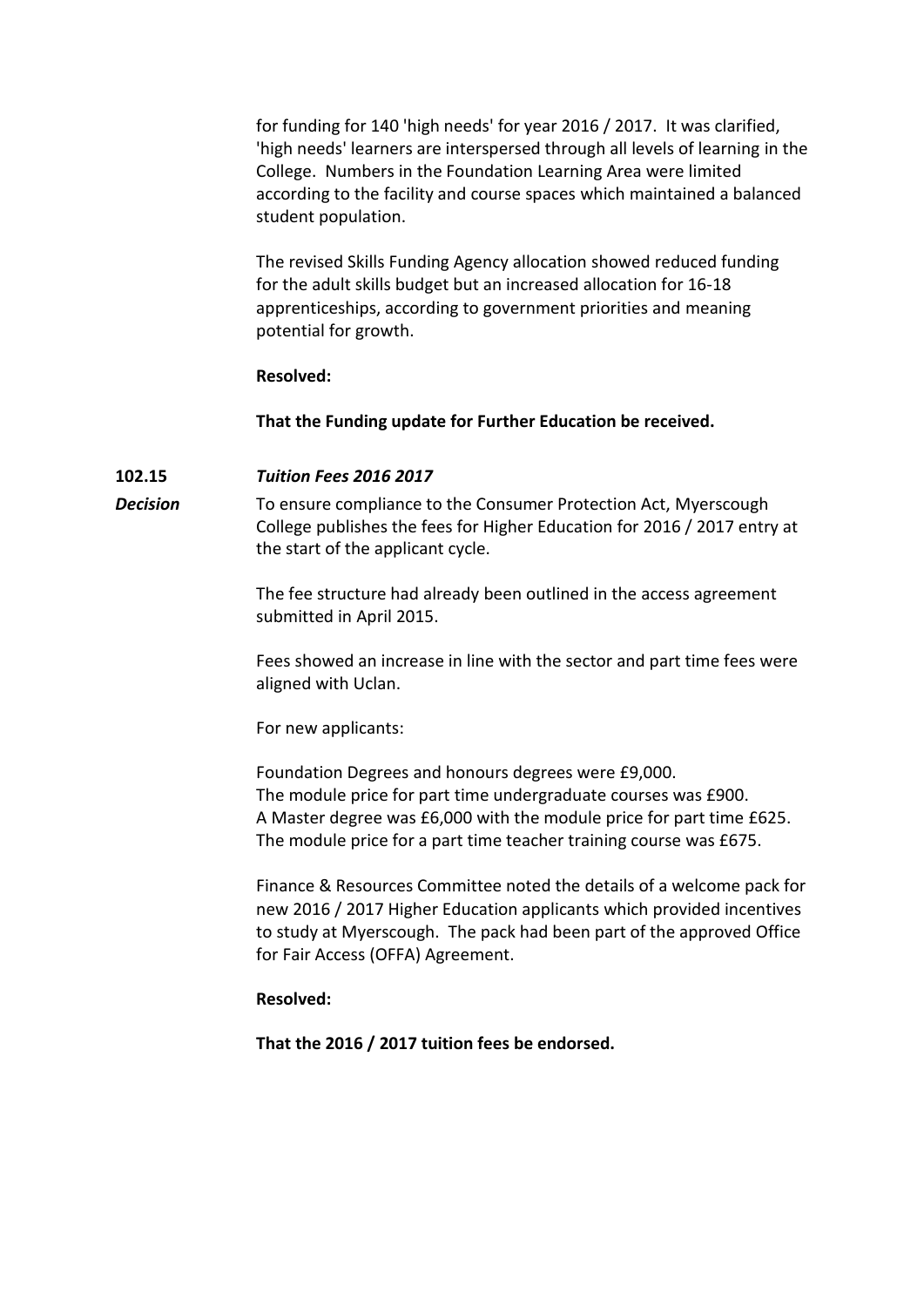for funding for 140 'high needs' for year 2016 / 2017. It was clarified, 'high needs' learners are interspersed through all levels of learning in the College. Numbers in the Foundation Learning Area were limited according to the facility and course spaces which maintained a balanced student population.

The revised Skills Funding Agency allocation showed reduced funding for the adult skills budget but an increased allocation for 16-18 apprenticeships, according to government priorities and meaning potential for growth.

#### **Resolved:**

**That the Funding update for Further Education be received.**

## **102.15** *Tuition Fees 2016 2017*

**Decision** To ensure compliance to the Consumer Protection Act, Myerscough College publishes the fees for Higher Education for 2016 / 2017 entry at the start of the applicant cycle.

> The fee structure had already been outlined in the access agreement submitted in April 2015.

Fees showed an increase in line with the sector and part time fees were aligned with Uclan.

For new applicants:

Foundation Degrees and honours degrees were £9,000. The module price for part time undergraduate courses was £900. A Master degree was £6,000 with the module price for part time £625. The module price for a part time teacher training course was £675.

Finance & Resources Committee noted the details of a welcome pack for new 2016 / 2017 Higher Education applicants which provided incentives to study at Myerscough. The pack had been part of the approved Office for Fair Access (OFFA) Agreement.

## **Resolved:**

**That the 2016 / 2017 tuition fees be endorsed.**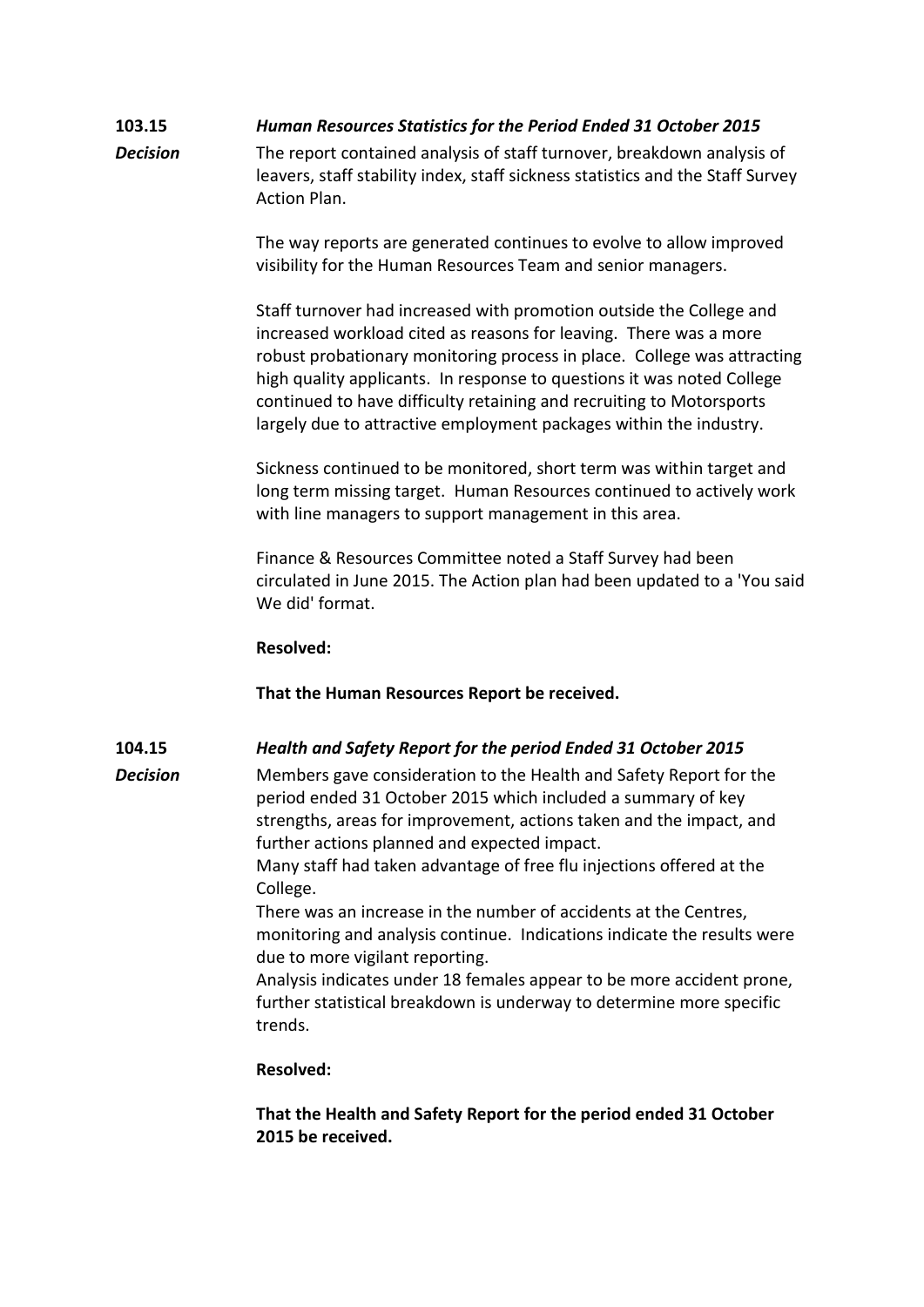## **103.15** *Human Resources Statistics for the Period Ended 31 October 2015*

**Decision** The report contained analysis of staff turnover, breakdown analysis of leavers, staff stability index, staff sickness statistics and the Staff Survey Action Plan.

> The way reports are generated continues to evolve to allow improved visibility for the Human Resources Team and senior managers.

Staff turnover had increased with promotion outside the College and increased workload cited as reasons for leaving. There was a more robust probationary monitoring process in place. College was attracting high quality applicants. In response to questions it was noted College continued to have difficulty retaining and recruiting to Motorsports largely due to attractive employment packages within the industry.

Sickness continued to be monitored, short term was within target and long term missing target. Human Resources continued to actively work with line managers to support management in this area.

Finance & Resources Committee noted a Staff Survey had been circulated in June 2015. The Action plan had been updated to a 'You said We did' format.

### **Resolved:**

## **That the Human Resources Report be received.**

## **104.15** *Health and Safety Report for the period Ended 31 October 2015*

*Decision* Members gave consideration to the Health and Safety Report for the period ended 31 October 2015 which included a summary of key strengths, areas for improvement, actions taken and the impact, and further actions planned and expected impact.

Many staff had taken advantage of free flu injections offered at the College.

There was an increase in the number of accidents at the Centres, monitoring and analysis continue. Indications indicate the results were due to more vigilant reporting.

Analysis indicates under 18 females appear to be more accident prone, further statistical breakdown is underway to determine more specific trends.

## **Resolved:**

## **That the Health and Safety Report for the period ended 31 October 2015 be received.**